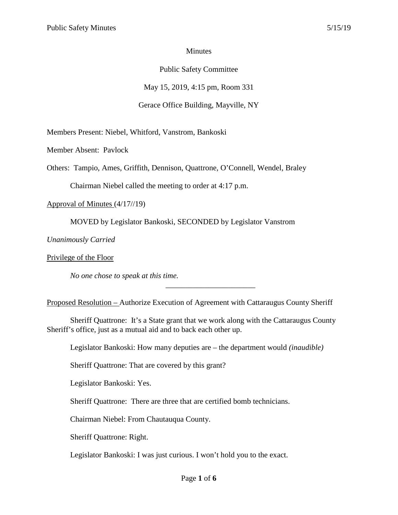#### Minutes

## Public Safety Committee

May 15, 2019, 4:15 pm, Room 331

## Gerace Office Building, Mayville, NY

Members Present: Niebel, Whitford, Vanstrom, Bankoski

Member Absent: Pavlock

Others: Tampio, Ames, Griffith, Dennison, Quattrone, O'Connell, Wendel, Braley

Chairman Niebel called the meeting to order at 4:17 p.m.

Approval of Minutes (4/17//19)

MOVED by Legislator Bankoski, SECONDED by Legislator Vanstrom

*Unanimously Carried*

Privilege of the Floor

*No one chose to speak at this time.*

Proposed Resolution – Authorize Execution of Agreement with Cattaraugus County Sheriff

\_\_\_\_\_\_\_\_\_\_\_\_\_\_\_\_\_\_\_\_\_\_\_

Sheriff Quattrone: It's a State grant that we work along with the Cattaraugus County Sheriff's office, just as a mutual aid and to back each other up.

Legislator Bankoski: How many deputies are – the department would *(inaudible)*

Sheriff Quattrone: That are covered by this grant?

Legislator Bankoski: Yes.

Sheriff Quattrone: There are three that are certified bomb technicians.

Chairman Niebel: From Chautauqua County.

Sheriff Quattrone: Right.

Legislator Bankoski: I was just curious. I won't hold you to the exact.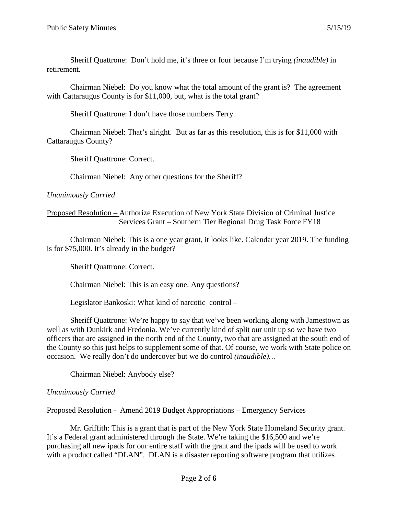Sheriff Quattrone: Don't hold me, it's three or four because I'm trying *(inaudible)* in retirement.

Chairman Niebel: Do you know what the total amount of the grant is? The agreement with Cattaraugus County is for \$11,000, but, what is the total grant?

Sheriff Quattrone: I don't have those numbers Terry.

Chairman Niebel: That's alright. But as far as this resolution, this is for \$11,000 with Cattaraugus County?

Sheriff Quattrone: Correct.

Chairman Niebel: Any other questions for the Sheriff?

*Unanimously Carried*

## Proposed Resolution – Authorize Execution of New York State Division of Criminal Justice Services Grant – Southern Tier Regional Drug Task Force FY18

Chairman Niebel: This is a one year grant, it looks like. Calendar year 2019. The funding is for \$75,000. It's already in the budget?

Sheriff Quattrone: Correct.

Chairman Niebel: This is an easy one. Any questions?

Legislator Bankoski: What kind of narcotic control –

Sheriff Quattrone: We're happy to say that we've been working along with Jamestown as well as with Dunkirk and Fredonia. We've currently kind of split our unit up so we have two officers that are assigned in the north end of the County, two that are assigned at the south end of the County so this just helps to supplement some of that. Of course, we work with State police on occasion. We really don't do undercover but we do control *(inaudible)…*

Chairman Niebel: Anybody else?

# *Unanimously Carried*

Proposed Resolution - Amend 2019 Budget Appropriations – Emergency Services

Mr. Griffith: This is a grant that is part of the New York State Homeland Security grant. It's a Federal grant administered through the State. We're taking the \$16,500 and we're purchasing all new ipads for our entire staff with the grant and the ipads will be used to work with a product called "DLAN". DLAN is a disaster reporting software program that utilizes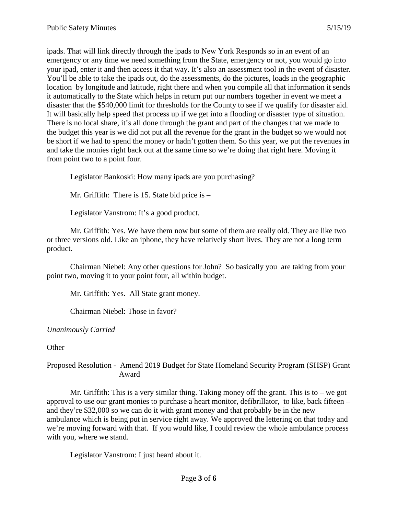ipads. That will link directly through the ipads to New York Responds so in an event of an emergency or any time we need something from the State, emergency or not, you would go into your ipad, enter it and then access it that way. It's also an assessment tool in the event of disaster. You'll be able to take the ipads out, do the assessments, do the pictures, loads in the geographic location by longitude and latitude, right there and when you compile all that information it sends it automatically to the State which helps in return put our numbers together in event we meet a disaster that the \$540,000 limit for thresholds for the County to see if we qualify for disaster aid. It will basically help speed that process up if we get into a flooding or disaster type of situation. There is no local share, it's all done through the grant and part of the changes that we made to the budget this year is we did not put all the revenue for the grant in the budget so we would not be short if we had to spend the money or hadn't gotten them. So this year, we put the revenues in and take the monies right back out at the same time so we're doing that right here. Moving it from point two to a point four.

Legislator Bankoski: How many ipads are you purchasing?

Mr. Griffith: There is 15. State bid price is –

Legislator Vanstrom: It's a good product.

Mr. Griffith: Yes. We have them now but some of them are really old. They are like two or three versions old. Like an iphone, they have relatively short lives. They are not a long term product.

Chairman Niebel: Any other questions for John? So basically you are taking from your point two, moving it to your point four, all within budget.

Mr. Griffith: Yes. All State grant money.

Chairman Niebel: Those in favor?

*Unanimously Carried*

**Other** 

Proposed Resolution - Amend 2019 Budget for State Homeland Security Program (SHSP) Grant Award

Mr. Griffith: This is a very similar thing. Taking money off the grant. This is to – we got approval to use our grant monies to purchase a heart monitor, defibrillator, to like, back fifteen – and they're \$32,000 so we can do it with grant money and that probably be in the new ambulance which is being put in service right away. We approved the lettering on that today and we're moving forward with that. If you would like, I could review the whole ambulance process with you, where we stand.

Legislator Vanstrom: I just heard about it.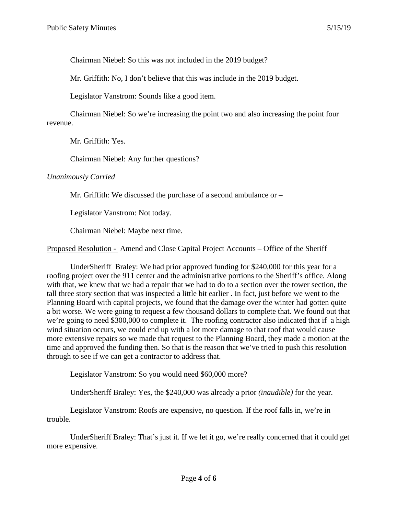Chairman Niebel: So this was not included in the 2019 budget?

Mr. Griffith: No, I don't believe that this was include in the 2019 budget.

Legislator Vanstrom: Sounds like a good item.

Chairman Niebel: So we're increasing the point two and also increasing the point four revenue.

Mr. Griffith: Yes.

Chairman Niebel: Any further questions?

#### *Unanimously Carried*

Mr. Griffith: We discussed the purchase of a second ambulance or –

Legislator Vanstrom: Not today.

Chairman Niebel: Maybe next time.

Proposed Resolution - Amend and Close Capital Project Accounts – Office of the Sheriff

UnderSheriff Braley: We had prior approved funding for \$240,000 for this year for a roofing project over the 911 center and the administrative portions to the Sheriff's office. Along with that, we knew that we had a repair that we had to do to a section over the tower section, the tall three story section that was inspected a little bit earlier . In fact, just before we went to the Planning Board with capital projects, we found that the damage over the winter had gotten quite a bit worse. We were going to request a few thousand dollars to complete that. We found out that we're going to need \$300,000 to complete it. The roofing contractor also indicated that if a high wind situation occurs, we could end up with a lot more damage to that roof that would cause more extensive repairs so we made that request to the Planning Board, they made a motion at the time and approved the funding then. So that is the reason that we've tried to push this resolution through to see if we can get a contractor to address that.

Legislator Vanstrom: So you would need \$60,000 more?

UnderSheriff Braley: Yes, the \$240,000 was already a prior *(inaudible)* for the year.

Legislator Vanstrom: Roofs are expensive, no question. If the roof falls in, we're in trouble.

UnderSheriff Braley: That's just it. If we let it go, we're really concerned that it could get more expensive.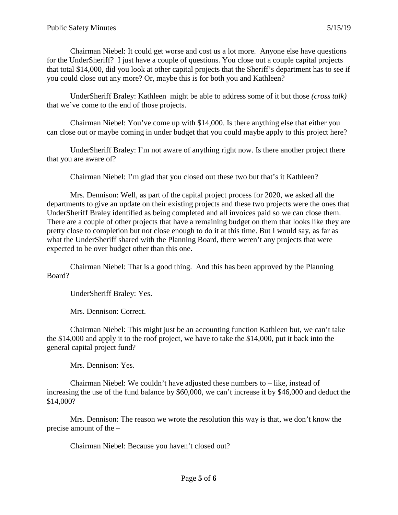Chairman Niebel: It could get worse and cost us a lot more. Anyone else have questions for the UnderSheriff? I just have a couple of questions. You close out a couple capital projects that total \$14,000, did you look at other capital projects that the Sheriff's department has to see if you could close out any more? Or, maybe this is for both you and Kathleen?

UnderSheriff Braley: Kathleen might be able to address some of it but those *(cross talk)* that we've come to the end of those projects.

Chairman Niebel: You've come up with \$14,000. Is there anything else that either you can close out or maybe coming in under budget that you could maybe apply to this project here?

UnderSheriff Braley: I'm not aware of anything right now. Is there another project there that you are aware of?

Chairman Niebel: I'm glad that you closed out these two but that's it Kathleen?

Mrs. Dennison: Well, as part of the capital project process for 2020, we asked all the departments to give an update on their existing projects and these two projects were the ones that UnderSheriff Braley identified as being completed and all invoices paid so we can close them. There are a couple of other projects that have a remaining budget on them that looks like they are pretty close to completion but not close enough to do it at this time. But I would say, as far as what the UnderSheriff shared with the Planning Board, there weren't any projects that were expected to be over budget other than this one.

Chairman Niebel: That is a good thing. And this has been approved by the Planning Board?

UnderSheriff Braley: Yes.

Mrs. Dennison: Correct.

Chairman Niebel: This might just be an accounting function Kathleen but, we can't take the \$14,000 and apply it to the roof project, we have to take the \$14,000, put it back into the general capital project fund?

Mrs. Dennison: Yes.

Chairman Niebel: We couldn't have adjusted these numbers to – like, instead of increasing the use of the fund balance by \$60,000, we can't increase it by \$46,000 and deduct the \$14,000?

Mrs. Dennison: The reason we wrote the resolution this way is that, we don't know the precise amount of the –

Chairman Niebel: Because you haven't closed out?